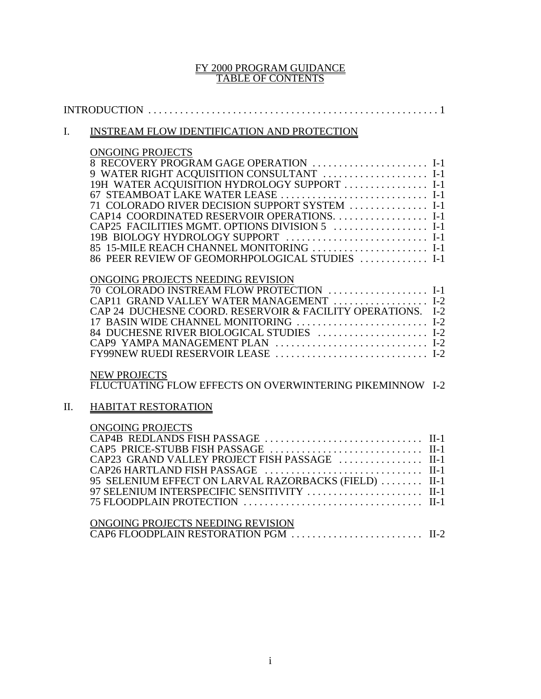#### FY 2000 PROGRAM GUIDANCE TABLE OF CONTENTS

| I. | INSTREAM FLOW IDENTIFICATION AND PROTECTION                                                                                                                                                                                                                                                                                                                                                                                                                                                   |  |
|----|-----------------------------------------------------------------------------------------------------------------------------------------------------------------------------------------------------------------------------------------------------------------------------------------------------------------------------------------------------------------------------------------------------------------------------------------------------------------------------------------------|--|
|    | <b>ONGOING PROJECTS</b><br>8 RECOVERY PROGRAM GAGE OPERATION  I-1<br>9 WATER RIGHT ACQUISITION CONSULTANT  I-1<br>19H WATER ACQUISITION HYDROLOGY SUPPORT  I-1<br>67 STEAMBOAT LAKE WATER LEASE  I-1<br>71 COLORADO RIVER DECISION SUPPORT SYSTEM  I-1<br>CAP14 COORDINATED RESERVOIR OPERATIONS.  I-1<br>CAP25 FACILITIES MGMT. OPTIONS DIVISION 5  I-1<br>19B BIOLOGY HYDROLOGY SUPPORT  I-1<br>85 15-MILE REACH CHANNEL MONITORING  I-1<br>86 PEER REVIEW OF GEOMORHPOLOGICAL STUDIES  I-1 |  |
|    | ONGOING PROJECTS NEEDING REVISION<br>70 COLORADO INSTREAM FLOW PROTECTION  I-1<br>CAP11 GRAND VALLEY WATER MANAGEMENT  I-2<br>CAP 24 DUCHESNE COORD. RESERVOIR & FACILITY OPERATIONS. I-2<br>17 BASIN WIDE CHANNEL MONITORING  I-2<br>84 DUCHESNE RIVER BIOLOGICAL STUDIES  I-2                                                                                                                                                                                                               |  |
| Π. | <b>NEW PROJECTS</b><br>FLUCTUATING FLOW EFFECTS ON OVERWINTERING PIKEMINNOW I-2<br><b>HABITAT RESTORATION</b>                                                                                                                                                                                                                                                                                                                                                                                 |  |
|    | <b>ONGOING PROJECTS</b><br>CAP5 PRICE-STUBB FISH PASSAGE  II-1<br>CAP23 GRAND VALLEY PROJECT FISH PASSAGE  II-1<br>95 SELENIUM EFFECT ON LARVAL RAZORBACKS (FIELD)  II-1<br>97 SELENIUM INTERSPECIFIC SENSITIVITY  II-1                                                                                                                                                                                                                                                                       |  |
|    | ONGOING PROJECTS NEEDING REVISION<br>CAP6 FLOODPLAIN RESTORATION PGM  II-2                                                                                                                                                                                                                                                                                                                                                                                                                    |  |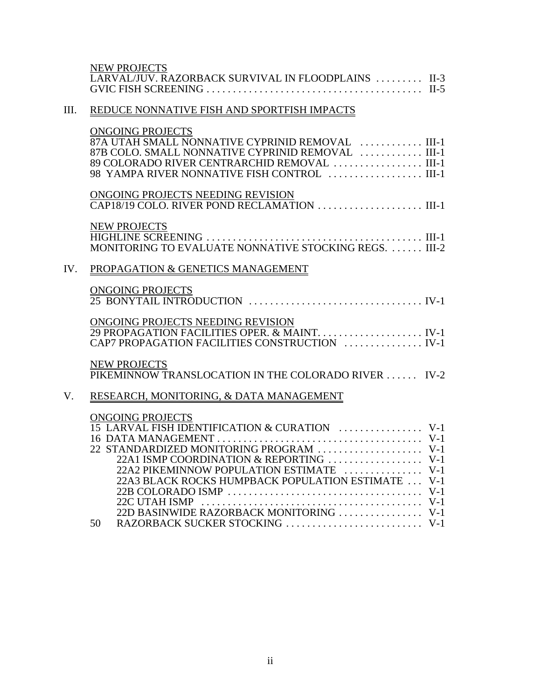|     | <b>NEW PROJECTS</b><br>LARVAL/JUV. RAZORBACK SURVIVAL IN FLOODPLAINS  II-3                                                                                                                                                                                       |
|-----|------------------------------------------------------------------------------------------------------------------------------------------------------------------------------------------------------------------------------------------------------------------|
| Ш.  | REDUCE NONNATIVE FISH AND SPORTFISH IMPACTS                                                                                                                                                                                                                      |
|     | <b>ONGOING PROJECTS</b><br>87A UTAH SMALL NONNATIVE CYPRINID REMOVAL  III-1<br>87B COLO. SMALL NONNATIVE CYPRINID REMOVAL  III-1<br>89 COLORADO RIVER CENTRARCHID REMOVAL  III-1<br>98 YAMPA RIVER NONNATIVE FISH CONTROL  III-1                                 |
|     | ONGOING PROJECTS NEEDING REVISION                                                                                                                                                                                                                                |
|     | <b>NEW PROJECTS</b><br>MONITORING TO EVALUATE NONNATIVE STOCKING REGS.  III-2                                                                                                                                                                                    |
| IV. | PROPAGATION & GENETICS MANAGEMENT                                                                                                                                                                                                                                |
|     | <b>ONGOING PROJECTS</b>                                                                                                                                                                                                                                          |
|     | ONGOING PROJECTS NEEDING REVISION<br>CAP7 PROPAGATION FACILITIES CONSTRUCTION  IV-1                                                                                                                                                                              |
|     | <b>NEW PROJECTS</b><br>PIKEMINNOW TRANSLOCATION IN THE COLORADO RIVER IV-2                                                                                                                                                                                       |
| V.  | RESEARCH, MONITORING, & DATA MANAGEMENT                                                                                                                                                                                                                          |
|     | <b>ONGOING PROJECTS</b><br>15 LARVAL FISH IDENTIFICATION & CURATION  V-1<br>22 STANDARDIZED MONITORING PROGRAM  V-1<br>22A1 ISMP COORDINATION & REPORTING  V-1<br>22A2 PIKEMINNOW POPULATION ESTIMATE  V-1<br>22A3 BLACK ROCKS HUMPBACK POPULATION ESTIMATE  V-1 |
|     | 22D BASINWIDE RAZORBACK MONITORING  V-1                                                                                                                                                                                                                          |

50 RAZORBACK SUCKER STOCKING . . . . . . . . . . . . . . . . . . . . . . . . . . V-1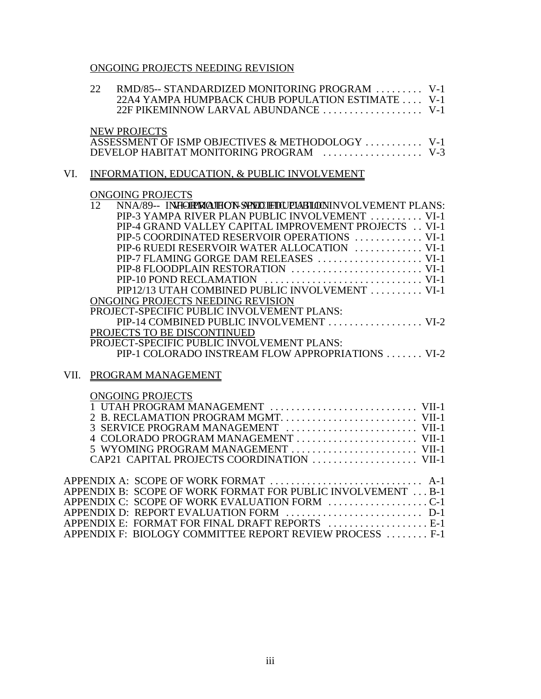## ONGOING PROJECTS NEEDING REVISION

|      | 22              | RMD/85-- STANDARDIZED MONITORING PROGRAM  V-1<br>22A4 YAMPA HUMPBACK CHUB POPULATION ESTIMATE V-1<br>22F PIKEMINNOW LARVAL ABUNDANCE  V-1                                                                                                                                                                                                                                                                                                                                                                                                                                                                                                            |  |
|------|-----------------|------------------------------------------------------------------------------------------------------------------------------------------------------------------------------------------------------------------------------------------------------------------------------------------------------------------------------------------------------------------------------------------------------------------------------------------------------------------------------------------------------------------------------------------------------------------------------------------------------------------------------------------------------|--|
|      |                 | <b>NEW PROJECTS</b><br>ASSESSMENT OF ISMP OBJECTIVES & METHODOLOGY  V-1<br>DEVELOP HABITAT MONITORING PROGRAM  V-3                                                                                                                                                                                                                                                                                                                                                                                                                                                                                                                                   |  |
| VI.  |                 | INFORMATION, EDUCATION, & PUBLIC INVOLVEMENT                                                                                                                                                                                                                                                                                                                                                                                                                                                                                                                                                                                                         |  |
|      | 12 <sub>1</sub> | <b>ONGOING PROJECTS</b><br>NNA/89-- INHORNALHON SREO HELOPLAHLONINVOLVEMENT PLANS:<br>PIP-3 YAMPA RIVER PLAN PUBLIC INVOLVEMENT  VI-1<br>PIP-4 GRAND VALLEY CAPITAL IMPROVEMENT PROJECTS VI-1<br>PIP-5 COORDINATED RESERVOIR OPERATIONS  VI-1<br>PIP-6 RUEDI RESERVOIR WATER ALLOCATION  VI-1<br>PIP-7 FLAMING GORGE DAM RELEASES  VI-1<br>PIP-8 FLOODPLAIN RESTORATION  VI-1<br>PIP12/13 UTAH COMBINED PUBLIC INVOLVEMENT VI-1<br>ONGOING PROJECTS NEEDING REVISION<br>PROJECT-SPECIFIC PUBLIC INVOLVEMENT PLANS:<br>PROJECTS TO BE DISCONTINUED<br>PROJECT-SPECIFIC PUBLIC INVOLVEMENT PLANS:<br>PIP-1 COLORADO INSTREAM FLOW APPROPRIATIONS  VI-2 |  |
| VII. |                 | PROGRAM MANAGEMENT                                                                                                                                                                                                                                                                                                                                                                                                                                                                                                                                                                                                                                   |  |
|      |                 | <b>ONGOING PROJECTS</b><br>1 UTAH PROGRAM MANAGEMENT  VII-1<br>3 SERVICE PROGRAM MANAGEMENT  VII-1<br>4 COLORADO PROGRAM MANAGEMENT  VII-1<br>CAP21 CAPITAL PROJECTS COORDINATION  VII-1                                                                                                                                                                                                                                                                                                                                                                                                                                                             |  |
|      |                 | APPENDIX B: SCOPE OF WORK FORMAT FOR PUBLIC INVOLVEMENT  B-1<br>APPENDIX C: SCOPE OF WORK EVALUATION FORM C-1<br>APPENDIX D: REPORT EVALUATION FORM  D-1<br>APPENDIX E: FORMAT FOR FINAL DRAFT REPORTS  E-1                                                                                                                                                                                                                                                                                                                                                                                                                                          |  |

APPENDIX F: BIOLOGY COMMITTEE REPORT REVIEW PROCESS . . . . . . . . F-1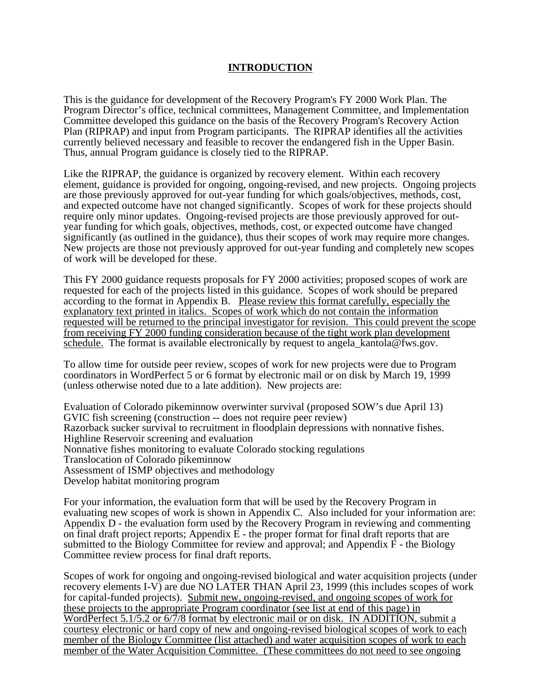#### **INTRODUCTION**

This is the guidance for development of the Recovery Program's FY 2000 Work Plan. The Program Director's office, technical committees, Management Committee, and Implementation Committee developed this guidance on the basis of the Recovery Program's Recovery Action Plan (RIPRAP) and input from Program participants. The RIPRAP identifies all the activities currently believed necessary and feasible to recover the endangered fish in the Upper Basin. Thus, annual Program guidance is closely tied to the RIPRAP.

Like the RIPRAP, the guidance is organized by recovery element. Within each recovery element, guidance is provided for ongoing, ongoing-revised, and new projects. Ongoing projects are those previously approved for out-year funding for which goals/objectives, methods, cost, and expected outcome have not changed significantly. Scopes of work for these projects should require only minor updates. Ongoing-revised projects are those previously approved for outyear funding for which goals, objectives, methods, cost, or expected outcome have changed significantly (as outlined in the guidance), thus their scopes of work may require more changes. New projects are those not previously approved for out-year funding and completely new scopes of work will be developed for these.

This FY 2000 guidance requests proposals for FY 2000 activities; proposed scopes of work are requested for each of the projects listed in this guidance. Scopes of work should be prepared according to the format in Appendix B. Please review this format carefully, especially the explanatory text printed in italics. Scopes of work which do not contain the information requested will be returned to the principal investigator for revision. This could prevent the scope from receiving FY 2000 funding consideration because of the tight work plan development schedule. The format is available electronically by request to angela\_kantola@fws.gov.

To allow time for outside peer review, scopes of work for new projects were due to Program coordinators in WordPerfect 5 or 6 format by electronic mail or on disk by March 19, 1999 (unless otherwise noted due to a late addition). New projects are:

Evaluation of Colorado pikeminnow overwinter survival (proposed SOW's due April 13) GVIC fish screening (construction -- does not require peer review) Razorback sucker survival to recruitment in floodplain depressions with nonnative fishes. Highline Reservoir screening and evaluation Nonnative fishes monitoring to evaluate Colorado stocking regulations Translocation of Colorado pikeminnow Assessment of ISMP objectives and methodology Develop habitat monitoring program

For your information, the evaluation form that will be used by the Recovery Program in evaluating new scopes of work is shown in Appendix C. Also included for your information are: Appendix D - the evaluation form used by the Recovery Program in reviewing and commenting on final draft project reports; Appendix  $\vec{E}$  - the proper format for final draft reports that are submitted to the Biology Committee for review and approval; and Appendix  $\overline{F}$  - the Biology Committee review process for final draft reports.

Scopes of work for ongoing and ongoing-revised biological and water acquisition projects (under recovery elements I-V) are due NO LATER THAN April 23, 1999 (this includes scopes of work for capital-funded projects). Submit new, ongoing-revised, and ongoing scopes of work for these projects to the appropriate Program coordinator (see list at end of this page) in WordPerfect 5.1/5.2 or 6/7/8 format by electronic mail or on disk. IN ADDITION, submit a courtesy electronic or hard copy of new and ongoing-revised biological scopes of work to each member of the Biology Committee (list attached) and water acquisition scopes of work to each member of the Water Acquisition Committee. (These committees do not need to see ongoing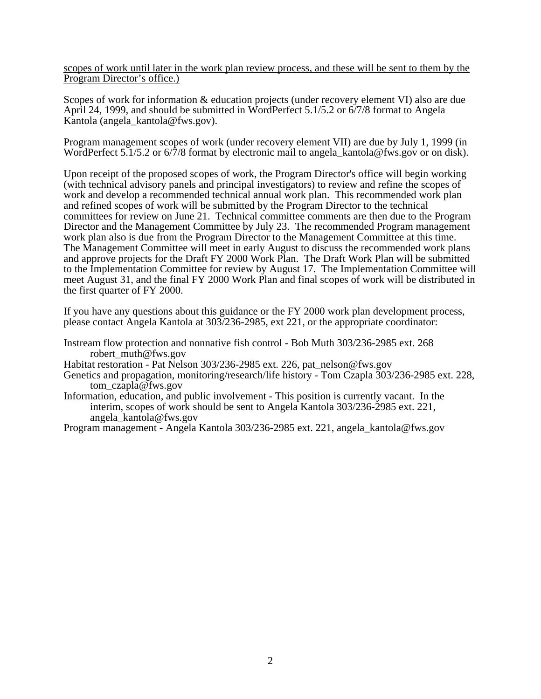scopes of work until later in the work plan review process, and these will be sent to them by the Program Director's office.)

Scopes of work for information & education projects (under recovery element VI) also are due April 24, 1999, and should be submitted in WordPerfect 5.1/5.2 or 6/7/8 format to Angela Kantola (angela\_kantola@fws.gov).

Program management scopes of work (under recovery element VII) are due by July 1, 1999 (in WordPerfect 5.1/5.2 or 6/7/8 format by electronic mail to angela kantola@fws.gov or on disk).

Upon receipt of the proposed scopes of work, the Program Director's office will begin working (with technical advisory panels and principal investigators) to review and refine the scopes of work and develop a recommended technical annual work plan. This recommended work plan and refined scopes of work will be submitted by the Program Director to the technical committees for review on June 21. Technical committee comments are then due to the Program Director and the Management Committee by July 23. The recommended Program management work plan also is due from the Program Director to the Management Committee at this time. The Management Committee will meet in early August to discuss the recommended work plans and approve projects for the Draft FY 2000 Work Plan. The Draft Work Plan will be submitted to the Implementation Committee for review by August 17. The Implementation Committee will meet August 31, and the final FY 2000 Work Plan and final scopes of work will be distributed in the first quarter of FY 2000.

If you have any questions about this guidance or the FY 2000 work plan development process, please contact Angela Kantola at 303/236-2985, ext 221, or the appropriate coordinator:

- Instream flow protection and nonnative fish control Bob Muth 303/236-2985 ext. 268 robert\_muth@fws.gov
- Habitat restoration Pat Nelson 303/236-2985 ext. 226, pat\_nelson@fws.gov
- Genetics and propagation, monitoring/research/life history Tom Czapla 303/236-2985 ext. 228, tom\_czapla@fws.gov
- Information, education, and public involvement This position is currently vacant. In the interim, scopes of work should be sent to Angela Kantola 303/236-2985 ext. 221, angela\_kantola@fws.gov

Program management - Angela Kantola 303/236-2985 ext. 221, angela\_kantola@fws.gov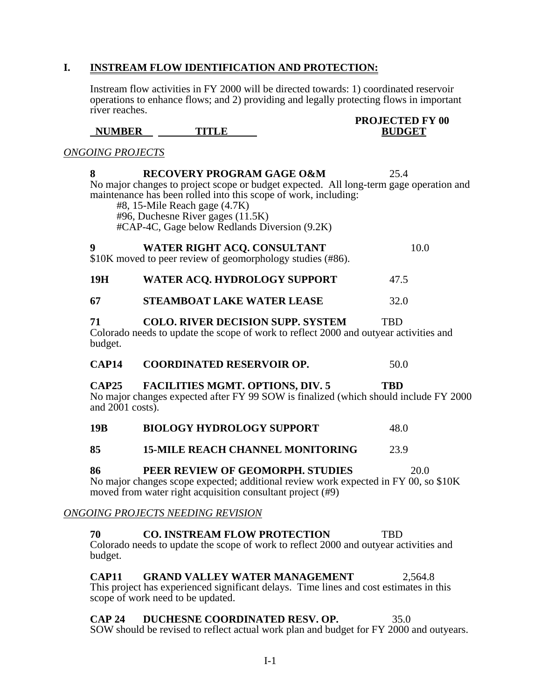## **I. INSTREAM FLOW IDENTIFICATION AND PROTECTION:**

Instream flow activities in FY 2000 will be directed towards: 1) coordinated reservoir operations to enhance flows; and 2) providing and legally protecting flows in important river reaches.

**NUMBER** 

# **PROJECTED FY 00**<br>**BUDGET**

*ONGOING PROJECTS*

| 8                         | RECOVERY PROGRAM GAGE O&M<br>No major changes to project scope or budget expected. All long-term gage operation and<br>maintenance has been rolled into this scope of work, including:<br>$#8$ , 15-Mile Reach gage $(4.7K)$<br>#96, Duchesne River gages (11.5K)<br>#CAP-4C, Gage below Redlands Diversion (9.2K) | 25.4       |
|---------------------------|--------------------------------------------------------------------------------------------------------------------------------------------------------------------------------------------------------------------------------------------------------------------------------------------------------------------|------------|
| 9                         | WATER RIGHT ACQ. CONSULTANT<br>\$10K moved to peer review of geomorphology studies (#86).                                                                                                                                                                                                                          | 10.0       |
| 19H                       | WATER ACQ. HYDROLOGY SUPPORT                                                                                                                                                                                                                                                                                       | 47.5       |
| 67                        | <b>STEAMBOAT LAKE WATER LEASE</b>                                                                                                                                                                                                                                                                                  | 32.0       |
| 71<br>budget.             | <b>COLO. RIVER DECISION SUPP. SYSTEM</b><br>Colorado needs to update the scope of work to reflect 2000 and outyear activities and                                                                                                                                                                                  | <b>TBD</b> |
| <b>CAP14</b>              | <b>COORDINATED RESERVOIR OP.</b>                                                                                                                                                                                                                                                                                   | 50.0       |
| CAP25<br>and 2001 costs). | <b>FACILITIES MGMT. OPTIONS, DIV. 5</b><br>No major changes expected after FY 99 SOW is finalized (which should include FY 2000                                                                                                                                                                                    | <b>TBD</b> |
| 19B                       | <b>BIOLOGY HYDROLOGY SUPPORT</b>                                                                                                                                                                                                                                                                                   | 48.0       |
| 85                        | <b>15-MILE REACH CHANNEL MONITORING</b>                                                                                                                                                                                                                                                                            | 23.9       |
| 86                        | PEER REVIEW OF GEOMORPH. STUDIES<br>No major changes scope expected; additional review work expected in FY 00, so \$10K<br>moved from water right acquisition consultant project (#9)                                                                                                                              | 20.0       |
|                           | <b>ONGOING PROJECTS NEEDING REVISION</b>                                                                                                                                                                                                                                                                           |            |
| 70<br>budget.             | <b>CO. INSTREAM FLOW PROTECTION</b><br>Colorado needs to update the scope of work to reflect 2000 and outyear activities and                                                                                                                                                                                       | <b>TBD</b> |
| CAP11                     | <b>GRAND VALLEY WATER MANAGEMENT</b><br>This project has experienced significant delays. Time lines and cost estimates in this<br>scope of work need to be updated.                                                                                                                                                | 2,564.8    |
|                           |                                                                                                                                                                                                                                                                                                                    |            |

**CAP 24 DUCHESNE COORDINATED RESV. OP.** 35.0 SOW should be revised to reflect actual work plan and budget for FY 2000 and outyears.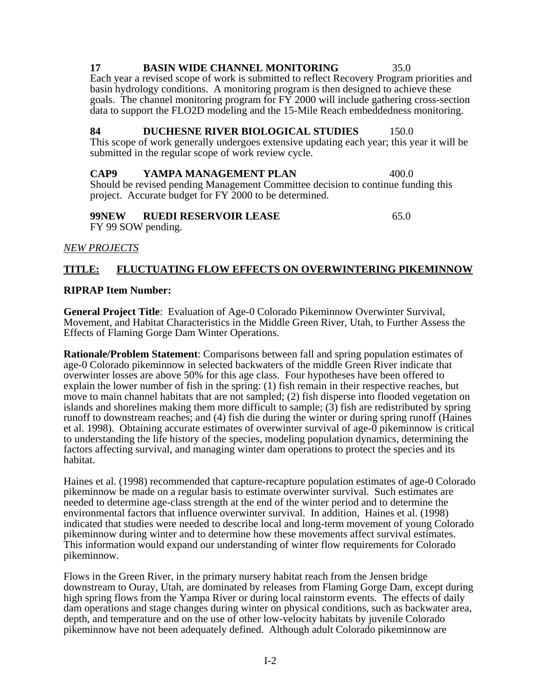## **17 BASIN WIDE CHANNEL MONITORING** 35.0

Each year a revised scope of work is submitted to reflect Recovery Program priorities and basin hydrology conditions. A monitoring program is then designed to achieve these goals. The channel monitoring program for FY 2000 will include gathering cross-section data to support the FLO2D modeling and the 15-Mile Reach embeddedness monitoring.

#### **84 DUCHESNE RIVER BIOLOGICAL STUDIES** 150.0

This scope of work generally undergoes extensive updating each year; this year it will be submitted in the regular scope of work review cycle.

**CAP9 YAMPA MANAGEMENT PLAN** 400.0 Should be revised pending Management Committee decision to continue funding this project. Accurate budget for FY 2000 to be determined.

#### **99NEW RUEDI RESERVOIR LEASE** 65.0 FY 99 SOW pending.

#### *NEW PROJECTS*

## **TITLE: FLUCTUATING FLOW EFFECTS ON OVERWINTERING PIKEMINNOW**

#### **RIPRAP Item Number:**

**General Project Title**: Evaluation of Age-0 Colorado Pikeminnow Overwinter Survival, Movement, and Habitat Characteristics in the Middle Green River, Utah, to Further Assess the Effects of Flaming Gorge Dam Winter Operations.

**Rationale/Problem Statement**: Comparisons between fall and spring population estimates of age-0 Colorado pikeminnow in selected backwaters of the middle Green River indicate that overwinter losses are above 50% for this age class. Four hypotheses have been offered to explain the lower number of fish in the spring: (1) fish remain in their respective reaches, but move to main channel habitats that are not sampled; (2) fish disperse into flooded vegetation on islands and shorelines making them more difficult to sample;  $(3)$  fish are redistributed by spring runoff to downstream reaches; and (4) fish die during the winter or during spring runoff (Haines et al. 1998). Obtaining accurate estimates of overwinter survival of age-0 pikeminnow is critical to understanding the life history of the species, modeling population dynamics, determining the factors affecting survival, and managing winter dam operations to protect the species and its habitat.

Haines et al. (1998) recommended that capture-recapture population estimates of age-0 Colorado pikeminnow be made on a regular basis to estimate overwinter survival. Such estimates are needed to determine age-class strength at the end of the winter period and to determine the environmental factors that influence overwinter survival. In addition, Haines et al. (1998) indicated that studies were needed to describe local and long-term movement of young Colorado pikeminnow during winter and to determine how these movements affect survival estimates. This information would expand our understanding of winter flow requirements for Colorado pikeminnow.

Flows in the Green River, in the primary nursery habitat reach from the Jensen bridge downstream to Ouray, Utah, are dominated by releases from Flaming Gorge Dam, except during high spring flows from the Yampa River or during local rainstorm events. The effects of daily dam operations and stage changes during winter on physical conditions, such as backwater area, depth, and temperature and on the use of other low-velocity habitats by juvenile Colorado pikeminnow have not been adequately defined. Although adult Colorado pikeminnow are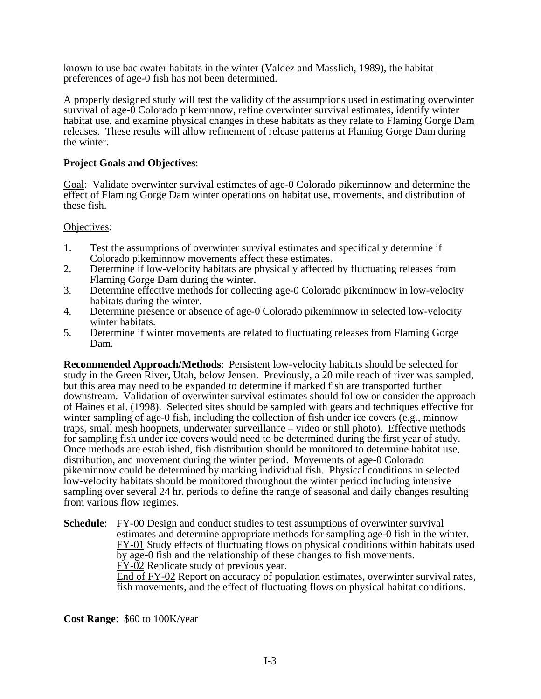known to use backwater habitats in the winter (Valdez and Masslich, 1989), the habitat preferences of age-0 fish has not been determined.

A properly designed study will test the validity of the assumptions used in estimating overwinter survival of age-0 Colorado pikeminnow, refine overwinter survival estimates, identify winter habitat use, and examine physical changes in these habitats as they relate to Flaming Gorge Dam releases. These results will allow refinement of release patterns at Flaming Gorge Dam during the winter.

#### **Project Goals and Objectives**:

Goal: Validate overwinter survival estimates of age-0 Colorado pikeminnow and determine the effect of Flaming Gorge Dam winter operations on habitat use, movements, and distribution of these fish.

#### Objectives:

- 1. Test the assumptions of overwinter survival estimates and specifically determine if Colorado pikeminnow movements affect these estimates.
- 2. Determine if low-velocity habitats are physically affected by fluctuating releases from Flaming Gorge Dam during the winter.
- 3. Determine effective methods for collecting age-0 Colorado pikeminnow in low-velocity habitats during the winter.
- 4. Determine presence or absence of age-0 Colorado pikeminnow in selected low-velocity winter habitats.
- 5. Determine if winter movements are related to fluctuating releases from Flaming Gorge Dam.

**Recommended Approach/Methods**: Persistent low-velocity habitats should be selected for study in the Green River, Utah, below Jensen. Previously, a 20 mile reach of river was sampled, but this area may need to be expanded to determine if marked fish are transported further downstream. Validation of overwinter survival estimates should follow or consider the approach of Haines et al. (1998). Selected sites should be sampled with gears and techniques effective for winter sampling of age-0 fish, including the collection of fish under ice covers (e.g., minnow traps, small mesh hoopnets, underwater surveillance – video or still photo). Effective methods for sampling fish under ice covers would need to be determined during the first year of study. Once methods are established, fish distribution should be monitored to determine habitat use, distribution, and movement during the winter period. Movements of age-0 Colorado pikeminnow could be determined by marking individual fish. Physical conditions in selected low-velocity habitats should be monitored throughout the winter period including intensive sampling over several 24 hr. periods to define the range of seasonal and daily changes resulting from various flow regimes.

**Schedule**: FY-00 Design and conduct studies to test assumptions of overwinter survival estimates and determine appropriate methods for sampling age-0 fish in the winter. FY-01 Study effects of fluctuating flows on physical conditions within habitats used by age-0 fish and the relationship of these changes to fish movements. FY-02 Replicate study of previous year. End of FY-02 Report on accuracy of population estimates, overwinter survival rates, fish movements, and the effect of fluctuating flows on physical habitat conditions.

**Cost Range**: \$60 to 100K/year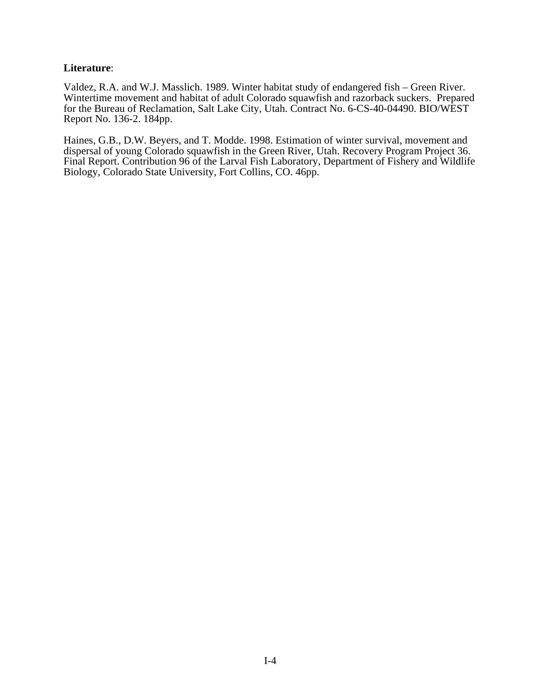#### **Literature**:

Valdez, R.A. and W.J. Masslich. 1989. Winter habitat study of endangered fish – Green River. Wintertime movement and habitat of adult Colorado squawfish and razorback suckers. Prepared for the Bureau of Reclamation, Salt Lake City, Utah. Contract No. 6-CS-40-04490. BIO/WEST Report No. 136-2. 184pp.

Haines, G.B., D.W. Beyers, and T. Modde. 1998. Estimation of winter survival, movement and dispersal of young Colorado squawfish in the Green River, Utah. Recovery Program Project 36. Final Report. Contribution 96 of the Larval Fish Laboratory, Department of Fishery and Wildlife Biology, Colorado State University, Fort Collins, CO. 46pp.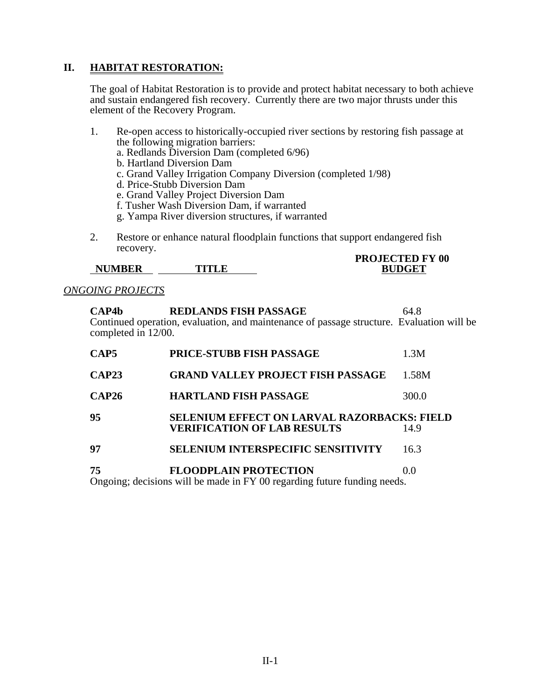## **II. HABITAT RESTORATION:**

The goal of Habitat Restoration is to provide and protect habitat necessary to both achieve and sustain endangered fish recovery. Currently there are two major thrusts under this element of the Recovery Program.

- 1. Re-open access to historically-occupied river sections by restoring fish passage at the following migration barriers:
	- a. Redlands Diversion Dam (completed 6/96)
	- b. Hartland Diversion Dam
	- c. Grand Valley Irrigation Company Diversion (completed 1/98)
	- d. Price-Stubb Diversion Dam
	- e. Grand Valley Project Diversion Dam
	- f. Tusher Wash Diversion Dam, if warranted
	- g. Yampa River diversion structures, if warranted
- 2. Restore or enhance natural floodplain functions that support endangered fish recovery.  **PROJECTED FY 00**

|               |       | T NUJECTED F I W |
|---------------|-------|------------------|
| <b>NUMBER</b> | TITLE | <b>BUDGET</b>    |

#### *ONGOING PROJECTS*

| CAP4b<br>completed in 12/00. | <b>REDLANDS FISH PASSAGE</b><br>Continued operation, evaluation, and maintenance of passage structure. Evaluation will be | 64.8  |
|------------------------------|---------------------------------------------------------------------------------------------------------------------------|-------|
| CAP <sub>5</sub>             | <b>PRICE-STUBB FISH PASSAGE</b>                                                                                           | 1.3M  |
| <b>CAP23</b>                 | <b>GRAND VALLEY PROJECT FISH PASSAGE</b>                                                                                  | 1.58M |
| <b>CAP26</b>                 | <b>HARTLAND FISH PASSAGE</b>                                                                                              | 300.0 |
| 95                           | <b>SELENIUM EFFECT ON LARVAL RAZORBACKS: FIELD</b><br><b>VERIFICATION OF LAB RESULTS</b>                                  | 14.9  |
| 97                           | <b>SELENIUM INTERSPECIFIC SENSITIVITY</b>                                                                                 | 16.3  |
| 75                           | <b>FLOODPLAIN PROTECTION</b><br>Ongoing; decisions will be made in FY 00 regarding future funding needs.                  | 0.0   |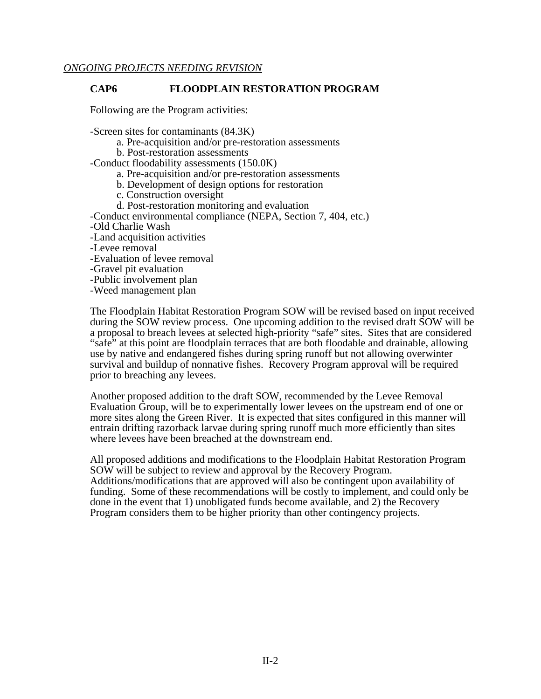#### **CAP6 FLOODPLAIN RESTORATION PROGRAM**

Following are the Program activities:

-Screen sites for contaminants (84.3K)

- a. Pre-acquisition and/or pre-restoration assessments
- b. Post-restoration assessments

-Conduct floodability assessments (150.0K)

- a. Pre-acquisition and/or pre-restoration assessments
- b. Development of design options for restoration
- c. Construction oversight
- d. Post-restoration monitoring and evaluation
- -Conduct environmental compliance (NEPA, Section 7, 404, etc.)
- -Old Charlie Wash
- -Land acquisition activities
- -Levee removal
- -Evaluation of levee removal
- -Gravel pit evaluation
- -Public involvement plan
- -Weed management plan

The Floodplain Habitat Restoration Program SOW will be revised based on input received during the SOW review process. One upcoming addition to the revised draft SOW will be a proposal to breach levees at selected high-priority "safe" sites. Sites that are considered "safe" at this point are floodplain terraces that are both floodable and drainable, allowing use by native and endangered fishes during spring runoff but not allowing overwinter survival and buildup of nonnative fishes. Recovery Program approval will be required prior to breaching any levees.

Another proposed addition to the draft SOW, recommended by the Levee Removal Evaluation Group, will be to experimentally lower levees on the upstream end of one or more sites along the Green River. It is expected that sites configured in this manner will entrain drifting razorback larvae during spring runoff much more efficiently than sites where levees have been breached at the downstream end.

All proposed additions and modifications to the Floodplain Habitat Restoration Program SOW will be subject to review and approval by the Recovery Program. Additions/modifications that are approved will also be contingent upon availability of funding. Some of these recommendations will be costly to implement, and could only be done in the event that 1) unobligated funds become available, and 2) the Recovery Program considers them to be higher priority than other contingency projects.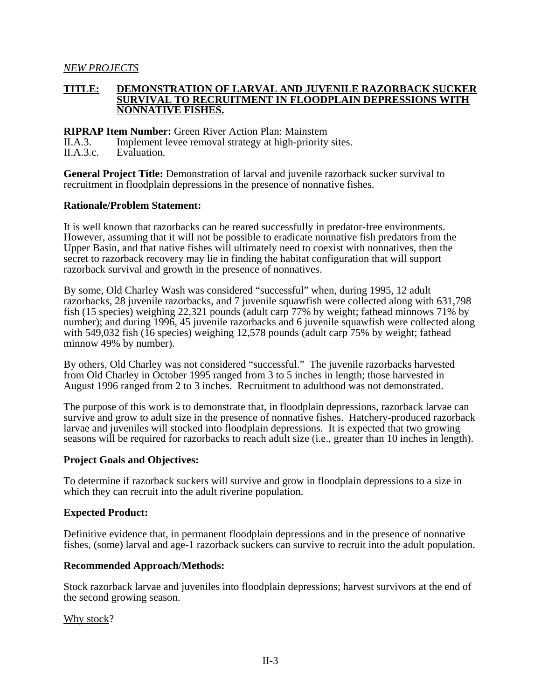#### **TITLE: DEMONSTRATION OF LARVAL AND JUVENILE RAZORBACK SUCKER SURVIVAL TO RECRUITMENT IN FLOODPLAIN DEPRESSIONS WITH NONNATIVE FISHES.**

**RIPRAP Item Number:** Green River Action Plan: Mainstem

II.A.3. Implement levee removal strategy at high-priority sites.

II.A.3.c. Evaluation.

**General Project Title:** Demonstration of larval and juvenile razorback sucker survival to recruitment in floodplain depressions in the presence of nonnative fishes.

#### **Rationale/Problem Statement:**

It is well known that razorbacks can be reared successfully in predator-free environments. However, assuming that it will not be possible to eradicate nonnative fish predators from the Upper Basin, and that native fishes will ultimately need to coexist with nonnatives, then the secret to razorback recovery may lie in finding the habitat configuration that will support razorback survival and growth in the presence of nonnatives.

By some, Old Charley Wash was considered "successful" when, during 1995, 12 adult razorbacks, 28 juvenile razorbacks, and 7 juvenile squawfish were collected along with 631,798 fish (15 species) weighing 22,321 pounds (adult carp 77% by weight; fathead minnows 71% by number); and during 1996, 45 juvenile razorbacks and 6 juvenile squawfish were collected along with 549,032 fish (16 species) weighing 12,578 pounds (adult carp 75% by weight; fathead minnow 49% by number).

By others, Old Charley was not considered "successful." The juvenile razorbacks harvested from Old Charley in October 1995 ranged from 3 to 5 inches in length; those harvested in August 1996 ranged from 2 to 3 inches. Recruitment to adulthood was not demonstrated.

The purpose of this work is to demonstrate that, in floodplain depressions, razorback larvae can survive and grow to adult size in the presence of nonnative fishes. Hatchery-produced razorback larvae and juveniles will stocked into floodplain depressions. It is expected that two growing seasons will be required for razorbacks to reach adult size (i.e., greater than 10 inches in length).

#### **Project Goals and Objectives:**

To determine if razorback suckers will survive and grow in floodplain depressions to a size in which they can recruit into the adult riverine population.

#### **Expected Product:**

Definitive evidence that, in permanent floodplain depressions and in the presence of nonnative fishes, (some) larval and age-1 razorback suckers can survive to recruit into the adult population.

#### **Recommended Approach/Methods:**

Stock razorback larvae and juveniles into floodplain depressions; harvest survivors at the end of the second growing season.

Why stock?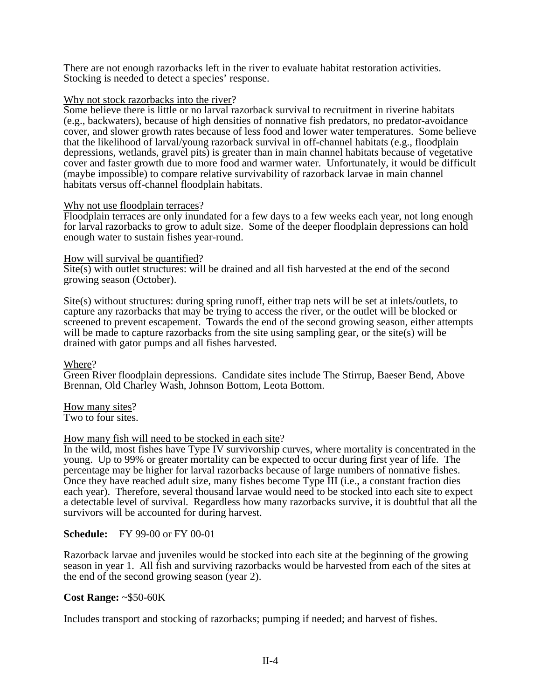There are not enough razorbacks left in the river to evaluate habitat restoration activities. Stocking is needed to detect a species' response.

#### Why not stock razorbacks into the river?

Some believe there is little or no larval razorback survival to recruitment in riverine habitats (e.g., backwaters), because of high densities of nonnative fish predators, no predator-avoidance cover, and slower growth rates because of less food and lower water temperatures. Some believe that the likelihood of larval/young razorback survival in off-channel habitats (e.g., floodplain depressions, wetlands, gravel pits) is greater than in main channel habitats because of vegetative cover and faster growth due to more food and warmer water. Unfortunately, it would be difficult (maybe impossible) to compare relative survivability of razorback larvae in main channel habitats versus off-channel floodplain habitats.

#### Why not use floodplain terraces?

Floodplain terraces are only inundated for a few days to a few weeks each year, not long enough for larval razorbacks to grow to adult size. Some of the deeper floodplain depressions can hold enough water to sustain fishes year-round.

#### How will survival be quantified?

Site(s) with outlet structures: will be drained and all fish harvested at the end of the second growing season (October).

Site(s) without structures: during spring runoff, either trap nets will be set at inlets/outlets, to capture any razorbacks that may be trying to access the river, or the outlet will be blocked or screened to prevent escapement. Towards the end of the second growing season, either attempts will be made to capture razorbacks from the site using sampling gear, or the site(s) will be drained with gator pumps and all fishes harvested.

#### Where?

Green River floodplain depressions. Candidate sites include The Stirrup, Baeser Bend, Above Brennan, Old Charley Wash, Johnson Bottom, Leota Bottom.

## How many sites?

Two to four sites.

#### How many fish will need to be stocked in each site?

In the wild, most fishes have Type IV survivorship curves, where mortality is concentrated in the young. Up to 99% or greater mortality can be expected to occur during first year of life. The percentage may be higher for larval razorbacks because of large numbers of nonnative fishes. Once they have reached adult size, many fishes become Type III (i.e., a constant fraction dies each year). Therefore, several thousand larvae would need to be stocked into each site to expect a detectable level of survival. Regardless how many razorbacks survive, it is doubtful that all the survivors will be accounted for during harvest.

#### **Schedule:** FY 99-00 or FY 00-01

Razorback larvae and juveniles would be stocked into each site at the beginning of the growing season in year 1. All fish and surviving razorbacks would be harvested from each of the sites at the end of the second growing season (year 2).

#### **Cost Range:** ~\$50-60K

Includes transport and stocking of razorbacks; pumping if needed; and harvest of fishes.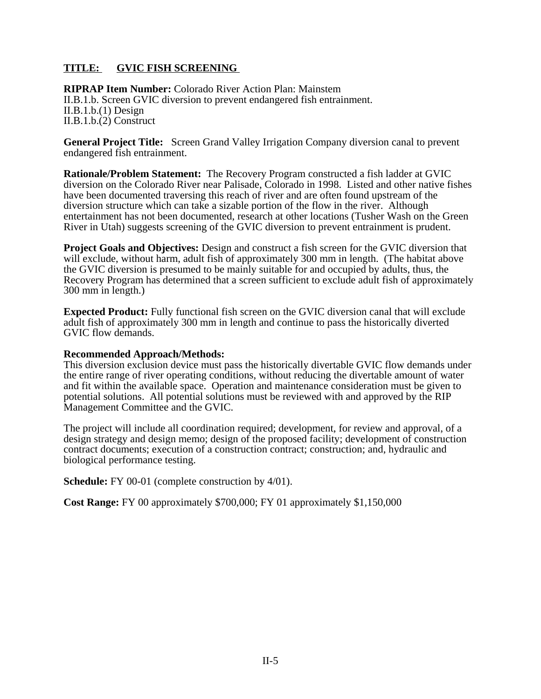## **TITLE: GVIC FISH SCREENING**

**RIPRAP Item Number:** Colorado River Action Plan: Mainstem II.B.1.b. Screen GVIC diversion to prevent endangered fish entrainment.  $II.B.1.b.(1)$  Design II.B.1.b.(2) Construct

**General Project Title:** Screen Grand Valley Irrigation Company diversion canal to prevent endangered fish entrainment.

**Rationale/Problem Statement:** The Recovery Program constructed a fish ladder at GVIC diversion on the Colorado River near Palisade, Colorado in 1998. Listed and other native fishes have been documented traversing this reach of river and are often found upstream of the diversion structure which can take a sizable portion of the flow in the river. Although entertainment has not been documented, research at other locations (Tusher Wash on the Green River in Utah) suggests screening of the GVIC diversion to prevent entrainment is prudent.

**Project Goals and Objectives:** Design and construct a fish screen for the GVIC diversion that will exclude, without harm, adult fish of approximately 300 mm in length. (The habitat above the GVIC diversion is presumed to be mainly suitable for and occupied by adults, thus, the Recovery Program has determined that a screen sufficient to exclude adult fish of approximately 300 mm in length.)

**Expected Product:** Fully functional fish screen on the GVIC diversion canal that will exclude adult fish of approximately 300 mm in length and continue to pass the historically diverted GVIC flow demands.

#### **Recommended Approach/Methods:**

This diversion exclusion device must pass the historically divertable GVIC flow demands under the entire range of river operating conditions, without reducing the divertable amount of water and fit within the available space. Operation and maintenance consideration must be given to potential solutions. All potential solutions must be reviewed with and approved by the RIP Management Committee and the GVIC.

The project will include all coordination required; development, for review and approval, of a design strategy and design memo; design of the proposed facility; development of construction contract documents; execution of a construction contract; construction; and, hydraulic and biological performance testing.

**Schedule:** FY 00-01 (complete construction by 4/01).

**Cost Range:** FY 00 approximately \$700,000; FY 01 approximately \$1,150,000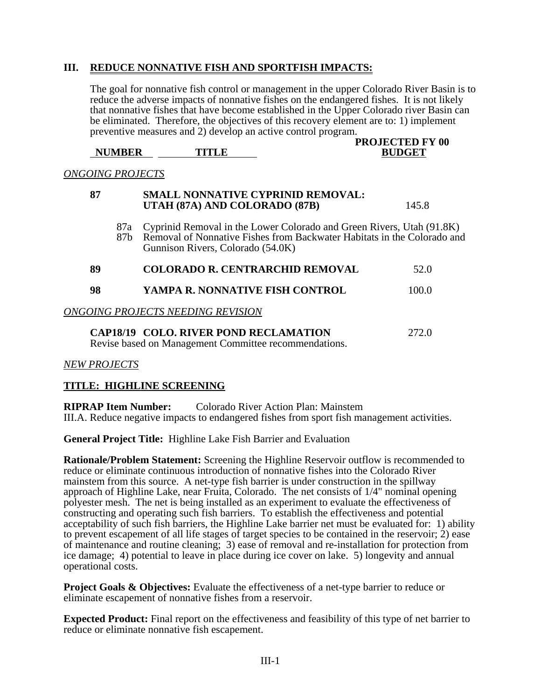## **III. REDUCE NONNATIVE FISH AND SPORTFISH IMPACTS:**

The goal for nonnative fish control or management in the upper Colorado River Basin is to reduce the adverse impacts of nonnative fishes on the endangered fishes. It is not likely that nonnative fishes that have become established in the Upper Colorado river Basin can be eliminated. Therefore, the objectives of this recovery element are to: 1) implement preventive measures and 2) develop an active control program.

 **PROJECTED FY 00 NUMBER TITLE BUDGET** 

*ONGOING PROJECTS*

| 87 |            | <b>SMALL NONNATIVE CYPRINID REMOVAL:</b><br>UTAH (87A) AND COLORADO (87B)                                                                                                             | 145.8 |
|----|------------|---------------------------------------------------------------------------------------------------------------------------------------------------------------------------------------|-------|
|    | 87a<br>87h | Cyprinid Removal in the Lower Colorado and Green Rivers, Utah (91.8K)<br>Removal of Nonnative Fishes from Backwater Habitats in the Colorado and<br>Gunnison Rivers, Colorado (54.0K) |       |
| 89 |            | <b>COLORADO R. CENTRARCHID REMOVAL</b>                                                                                                                                                | 52.0  |
| 98 |            | YAMPA R. NONNATIVE FISH CONTROL                                                                                                                                                       | 100.0 |
|    |            | ONGOING PROJECTS NEEDING REVISION                                                                                                                                                     |       |
|    |            |                                                                                                                                                                                       |       |

**CAP18/19 COLO. RIVER POND RECLAMATION** 272.0 Revise based on Management Committee recommendations.

*NEW PROJECTS*

#### **TITLE: HIGHLINE SCREENING**

**RIPRAP Item Number:** Colorado River Action Plan: Mainstem III.A. Reduce negative impacts to endangered fishes from sport fish management activities.

**General Project Title:** Highline Lake Fish Barrier and Evaluation

**Rationale/Problem Statement:** Screening the Highline Reservoir outflow is recommended to reduce or eliminate continuous introduction of nonnative fishes into the Colorado River mainstem from this source. A net-type fish barrier is under construction in the spillway approach of Highline Lake, near Fruita, Colorado. The net consists of 1/4" nominal opening polyester mesh. The net is being installed as an experiment to evaluate the effectiveness of constructing and operating such fish barriers. To establish the effectiveness and potential acceptability of such fish barriers, the Highline Lake barrier net must be evaluated for: 1) ability to prevent escapement of all life stages of target species to be contained in the reservoir; 2) ease of maintenance and routine cleaning; 3) ease of removal and re-installation for protection from ice damage; 4) potential to leave in place during ice cover on lake. 5) longevity and annual operational costs.

**Project Goals & Objectives:** Evaluate the effectiveness of a net-type barrier to reduce or eliminate escapement of nonnative fishes from a reservoir.

**Expected Product:** Final report on the effectiveness and feasibility of this type of net barrier to reduce or eliminate nonnative fish escapement.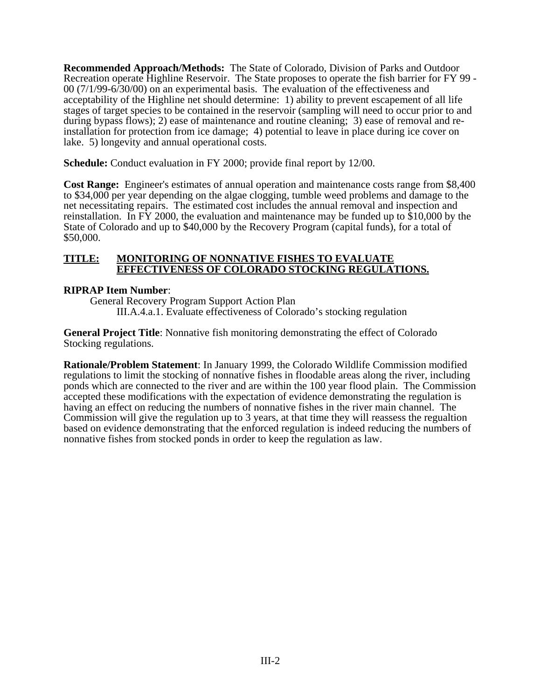**Recommended Approach/Methods:** The State of Colorado, Division of Parks and Outdoor Recreation operate Highline Reservoir. The State proposes to operate the fish barrier for FY 99 - 00 (7/1/99-6/30/00) on an experimental basis. The evaluation of the effectiveness and acceptability of the Highline net should determine: 1) ability to prevent escapement of all life stages of target species to be contained in the reservoir (sampling will need to occur prior to and during bypass flows); 2) ease of maintenance and routine cleaning; 3) ease of removal and reinstallation for protection from ice damage; 4) potential to leave in place during ice cover on lake. 5) longevity and annual operational costs.

**Schedule:** Conduct evaluation in FY 2000; provide final report by 12/00.

**Cost Range:** Engineer's estimates of annual operation and maintenance costs range from \$8,400 to \$34,000 per year depending on the algae clogging, tumble weed problems and damage to the net necessitating repairs. The estimated cost includes the annual removal and inspection and reinstallation. In FY 2000, the evaluation and maintenance may be funded up to \$10,000 by the State of Colorado and up to \$40,000 by the Recovery Program (capital funds), for a total of \$50,000.

#### **TITLE: MONITORING OF NONNATIVE FISHES TO EVALUATE EFFECTIVENESS OF COLORADO STOCKING REGULATIONS.**

## **RIPRAP Item Number**:

General Recovery Program Support Action Plan III.A.4.a.1. Evaluate effectiveness of Colorado's stocking regulation

**General Project Title**: Nonnative fish monitoring demonstrating the effect of Colorado Stocking regulations.

**Rationale/Problem Statement**: In January 1999, the Colorado Wildlife Commission modified regulations to limit the stocking of nonnative fishes in floodable areas along the river, including ponds which are connected to the river and are within the 100 year flood plain. The Commission accepted these modifications with the expectation of evidence demonstrating the regulation is having an effect on reducing the numbers of nonnative fishes in the river main channel. The Commission will give the regulation up to 3 years, at that time they will reassess the regualtion based on evidence demonstrating that the enforced regulation is indeed reducing the numbers of nonnative fishes from stocked ponds in order to keep the regulation as law.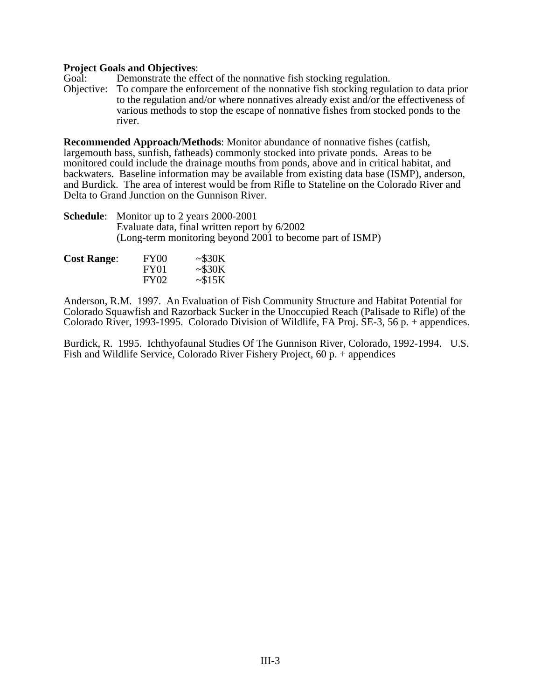#### **Project Goals and Objectives**:

- Goal: Demonstrate the effect of the nonnative fish stocking regulation.
- Objective: To compare the enforcement of the nonnative fish stocking regulation to data prior to the regulation and/or where nonnatives already exist and/or the effectiveness of various methods to stop the escape of nonnative fishes from stocked ponds to the river.

**Recommended Approach/Methods**: Monitor abundance of nonnative fishes (catfish, largemouth bass, sunfish, fatheads) commonly stocked into private ponds. Areas to be monitored could include the drainage mouths from ponds, above and in critical habitat, and backwaters. Baseline information may be available from existing data base (ISMP), anderson, and Burdick. The area of interest would be from Rifle to Stateline on the Colorado River and Delta to Grand Junction on the Gunnison River.

**Schedule**: Monitor up to 2 years 2000-2001 Evaluate data, final written report by 6/2002 (Long-term monitoring beyond 2001 to become part of ISMP)

| <b>Cost Range:</b> | FY <sub>00</sub> | $\sim$ \$30K    |
|--------------------|------------------|-----------------|
|                    | FY <sub>01</sub> | $\sim$ \$30K    |
|                    | <b>FY02</b>      | $\sim$ \$15 $K$ |

Anderson, R.M. 1997. An Evaluation of Fish Community Structure and Habitat Potential for Colorado Squawfish and Razorback Sucker in the Unoccupied Reach (Palisade to Rifle) of the Colorado River, 1993-1995. Colorado Division of Wildlife, FA Proj. SE-3, 56 p. + appendices.

Burdick, R. 1995. Ichthyofaunal Studies Of The Gunnison River, Colorado, 1992-1994. U.S. Fish and Wildlife Service, Colorado River Fishery Project, 60 p. + appendices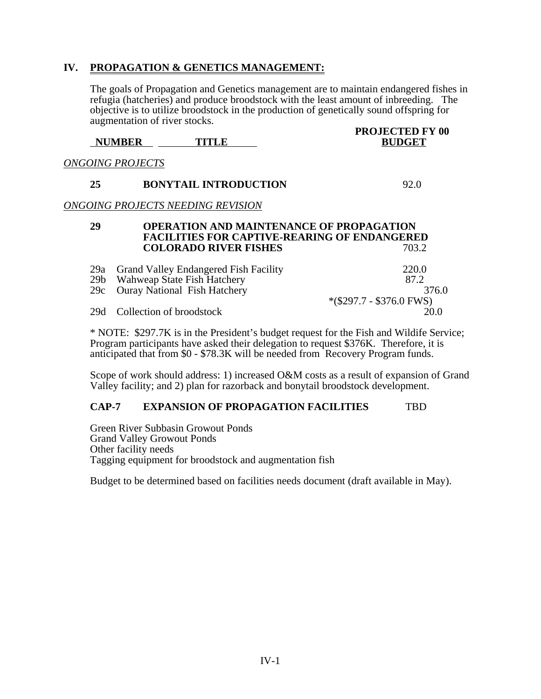## **IV. PROPAGATION & GENETICS MANAGEMENT:**

The goals of Propagation and Genetics management are to maintain endangered fishes in refugia (hatcheries) and produce broodstock with the least amount of inbreeding. The objective is to utilize broodstock in the production of genetically sound offspring for augmentation of river stocks.  **PROJECTED FY 00**

| <b>NUMBER</b>           | <b>TITLE</b>                                 | 1 WWW.CHUD 1 1 W<br><b>BUDGET</b> |
|-------------------------|----------------------------------------------|-----------------------------------|
| <b>ONGOING PROJECTS</b> |                                              |                                   |
| 25                      | <b>BONYTAIL INTRODUCTION</b>                 | 92.0                              |
|                         | ONGOING PROJECTS NEEDING REVISION            |                                   |
| 20                      | ODED A TION AND MAINTENANCE OF DDODAC A TION |                                   |

## **29 OPERATION AND MAINTENANCE OF PROPAGATION FACILITIES FOR CAPTIVE-REARING OF ENDANGERED COLORADO RIVER FISHES** 703.2

| 29a Grand Valley Endangered Fish Facility | 220.0                              |
|-------------------------------------------|------------------------------------|
| 29b Wahweap State Fish Hatchery           | 87.2                               |
| 29c Ouray National Fish Hatchery          | 376.0                              |
|                                           | $*(\$297.7 - \$376.0 \text{ FWS})$ |
| 29d Collection of broodstock              | 20 O                               |

\* NOTE: \$297.7K is in the President's budget request for the Fish and Wildife Service; Program participants have asked their delegation to request \$376K. Therefore, it is anticipated that from \$0 - \$78.3K will be needed from Recovery Program funds.

Scope of work should address: 1) increased O&M costs as a result of expansion of Grand Valley facility; and 2) plan for razorback and bonytail broodstock development.

#### **CAP-7 EXPANSION OF PROPAGATION FACILITIES** TBD

Green River Subbasin Growout Ponds Grand Valley Growout Ponds Other facility needs Tagging equipment for broodstock and augmentation fish

Budget to be determined based on facilities needs document (draft available in May).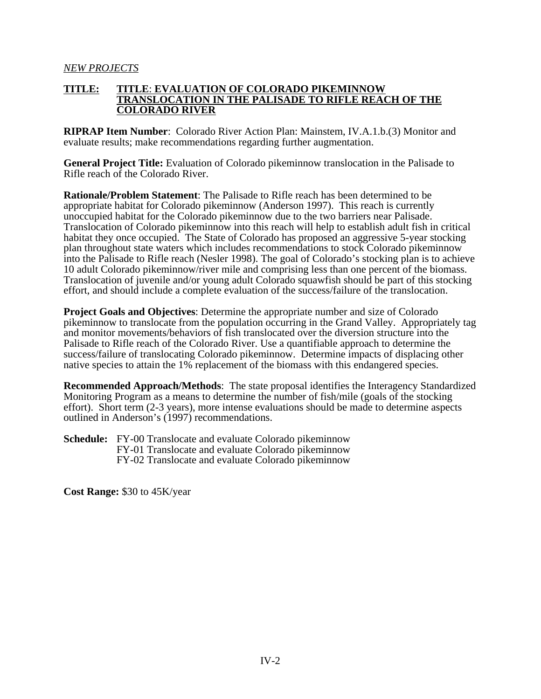#### **TITLE: TITLE**: **EVALUATION OF COLORADO PIKEMINNOW TRANSLOCATION IN THE PALISADE TO RIFLE REACH OF THE COLORADO RIVER**

**RIPRAP Item Number**: Colorado River Action Plan: Mainstem, IV.A.1.b.(3) Monitor and evaluate results; make recommendations regarding further augmentation.

**General Project Title:** Evaluation of Colorado pikeminnow translocation in the Palisade to Rifle reach of the Colorado River.

**Rationale/Problem Statement**: The Palisade to Rifle reach has been determined to be appropriate habitat for Colorado pikeminnow (Anderson 1997). This reach is currently unoccupied habitat for the Colorado pikeminnow due to the two barriers near Palisade. Translocation of Colorado pikeminnow into this reach will help to establish adult fish in critical habitat they once occupied. The State of Colorado has proposed an aggressive 5-year stocking plan throughout state waters which includes recommendations to stock Colorado pikeminnow into the Palisade to Rifle reach (Nesler 1998). The goal of Colorado's stocking plan is to achieve 10 adult Colorado pikeminnow/river mile and comprising less than one percent of the biomass. Translocation of juvenile and/or young adult Colorado squawfish should be part of this stocking effort, and should include a complete evaluation of the success/failure of the translocation.

**Project Goals and Objectives**: Determine the appropriate number and size of Colorado pikeminnow to translocate from the population occurring in the Grand Valley. Appropriately tag and monitor movements/behaviors of fish translocated over the diversion structure into the Palisade to Rifle reach of the Colorado River. Use a quantifiable approach to determine the success/failure of translocating Colorado pikeminnow. Determine impacts of displacing other native species to attain the 1% replacement of the biomass with this endangered species.

**Recommended Approach/Methods**: The state proposal identifies the Interagency Standardized Monitoring Program as a means to determine the number of fish/mile (goals of the stocking effort). Short term (2-3 years), more intense evaluations should be made to determine aspects outlined in Anderson's (1997) recommendations.

**Schedule:** FY-00 Translocate and evaluate Colorado pikeminnow FY-01 Translocate and evaluate Colorado pikeminnow FY-02 Translocate and evaluate Colorado pikeminnow

**Cost Range:** \$30 to 45K/year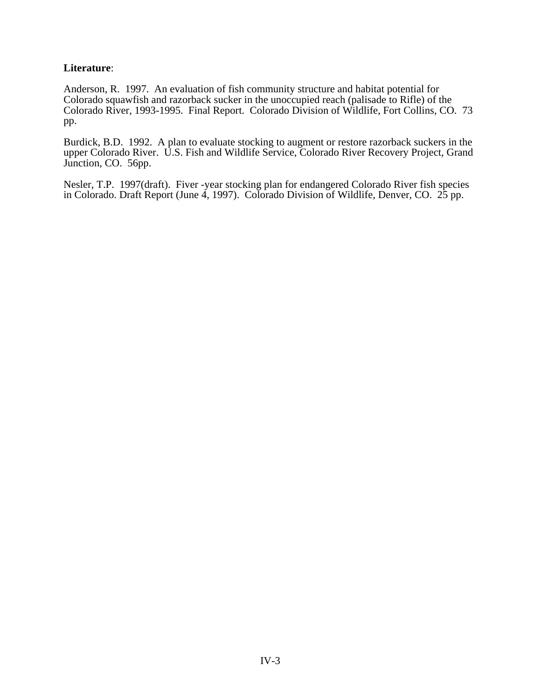#### **Literature**:

Anderson, R. 1997. An evaluation of fish community structure and habitat potential for Colorado squawfish and razorback sucker in the unoccupied reach (palisade to Rifle) of the Colorado River, 1993-1995. Final Report. Colorado Division of Wildlife, Fort Collins, CO. 73 pp.

Burdick, B.D. 1992. A plan to evaluate stocking to augment or restore razorback suckers in the upper Colorado River. U.S. Fish and Wildlife Service, Colorado River Recovery Project, Grand Junction, CO. 56pp.

Nesler, T.P. 1997(draft). Fiver -year stocking plan for endangered Colorado River fish species in Colorado. Draft Report (June 4, 1997). Colorado Division of Wildlife, Denver, CO. 25 pp.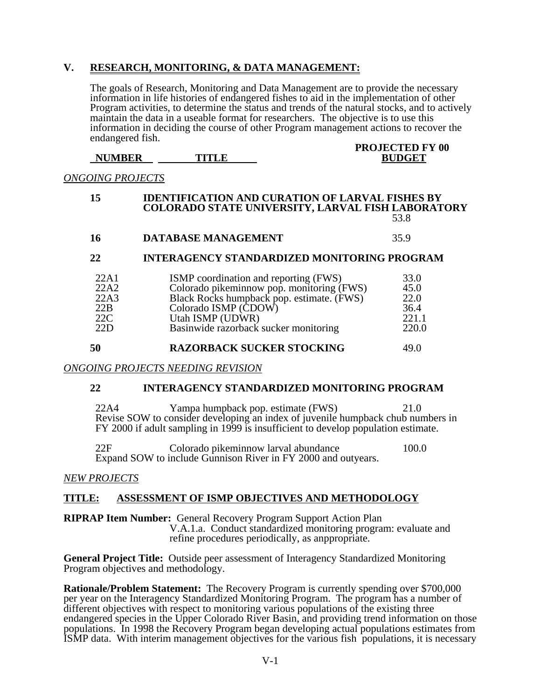## **V. RESEARCH, MONITORING, & DATA MANAGEMENT:**

The goals of Research, Monitoring and Data Management are to provide the necessary information in life histories of endangered fishes to aid in the implementation of other Program activities, to determine the status and trends of the natural stocks, and to actively maintain the data in a useable format for researchers. The objective is to use this information in deciding the course of other Program management actions to recover the endangered fish.

**NUMBER TITLE BUDGET** 

## **PROJECTED FY 00**<br>**BUDGET**

*ONGOING PROJECTS*

| 15                                        | <b>IDENTIFICATION AND CURATION OF LARVAL FISHES BY</b><br><b>COLORADO STATE UNIVERSITY, LARVAL FISH LABORATORY</b><br>53.8                                                                                           |                                                |  |
|-------------------------------------------|----------------------------------------------------------------------------------------------------------------------------------------------------------------------------------------------------------------------|------------------------------------------------|--|
| 16                                        | <b>DATABASE MANAGEMENT</b>                                                                                                                                                                                           | 35.9                                           |  |
| 22                                        | <b>INTERAGENCY STANDARDIZED MONITORING PROGRAM</b>                                                                                                                                                                   |                                                |  |
| 22A1<br>22A2<br>22A3<br>22B<br>22C<br>22D | ISMP coordination and reporting (FWS)<br>Colorado pikeminnow pop. monitoring (FWS)<br>Black Rocks humpback pop. estimate. (FWS)<br>Colorado ISMP (CDOW)<br>Utah ISMP (UDWR)<br>Basinwide razorback sucker monitoring | 33.0<br>45.0<br>22.0<br>36.4<br>221.1<br>220.0 |  |
| 50                                        | <b>RAZORBACK SUCKER STOCKING</b>                                                                                                                                                                                     | 49.0                                           |  |

#### *ONGOING PROJECTS NEEDING REVISION*

#### **22 INTERAGENCY STANDARDIZED MONITORING PROGRAM**

 22A4 Yampa humpback pop. estimate (FWS) 21.0 Revise SOW to consider developing an index of juvenile humpback chub numbers in FY 2000 if adult sampling in 1999 is insufficient to develop population estimate.

 22F Colorado pikeminnow larval abundance 100.0 Expand SOW to include Gunnison River in FY 2000 and outyears.

#### *NEW PROJECTS*

## **TITLE: ASSESSMENT OF ISMP OBJECTIVES AND METHODOLOGY**

**RIPRAP Item Number:** General Recovery Program Support Action Plan V.A.1.a. Conduct standardized monitoring program: evaluate and refine procedures periodically, as anppropriate.

**General Project Title:** Outside peer assessment of Interagency Standardized Monitoring Program objectives and methodology.

**Rationale/Problem Statement:** The Recovery Program is currently spending over \$700,000 per year on the Interagency Standardized Monitoring Program. The program has a number of different objectives with respect to monitoring various populations of the existing three endangered species in the Upper Colorado River Basin, and providing trend information on those populations. In 1998 the Recovery Program began developing actual populations estimates from ISMP data. With interim management objectives for the various fish populations, it is necessary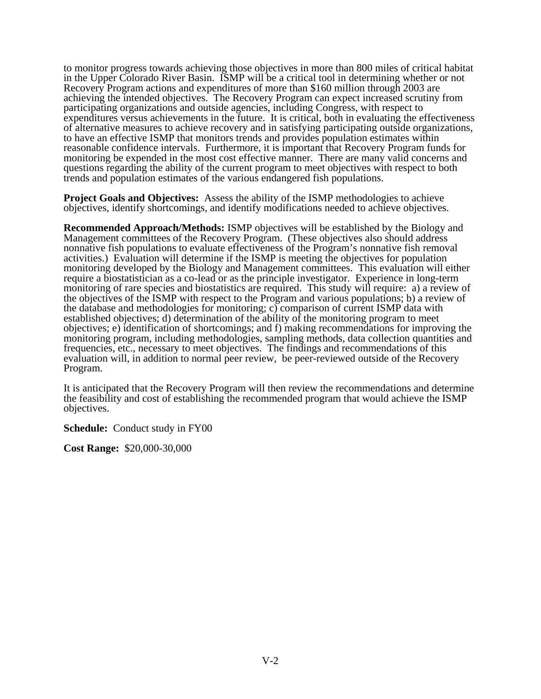to monitor progress towards achieving those objectives in more than 800 miles of critical habitat in the Upper Colorado River Basin. ISMP will be a critical tool in determining whether or not Recovery Program actions and expenditures of more than \$160 million through 2003 are achieving the intended objectives. The Recovery Program can expect increased scrutiny from participating organizations and outside agencies, including Congress, with respect to expenditures versus achievements in the future. It is critical, both in evaluating the effectiveness of alternative measures to achieve recovery and in satisfying participating outside organizations, to have an effective ISMP that monitors trends and provides population estimates within reasonable confidence intervals. Furthermore, it is important that Recovery Program funds for monitoring be expended in the most cost effective manner. There are many valid concerns and questions regarding the ability of the current program to meet objectives with respect to both trends and population estimates of the various endangered fish populations.

**Project Goals and Objectives:** Assess the ability of the ISMP methodologies to achieve objectives, identify shortcomings, and identify modifications needed to achieve objectives.

**Recommended Approach/Methods:** ISMP objectives will be established by the Biology and Management committees of the Recovery Program. (These objectives also should address nonnative fish populations to evaluate effectiveness of the Program's nonnative fish removal activities.) Evaluation will determine if the ISMP is meeting the objectives for population monitoring developed by the Biology and Management committees. This evaluation will either require a biostatistician as a co-lead or as the principle investigator. Experience in long-term monitoring of rare species and biostatistics are required. This study will require: a) a review of the objectives of the ISMP with respect to the Program and various populations; b) a review of the database and methodologies for monitoring; c) comparison of current ISMP data with established objectives; d) determination of the ability of the monitoring program to meet objectives; e) identification of shortcomings; and f) making recommendations for improving the monitoring program, including methodologies, sampling methods, data collection quantities and frequencies, etc., necessary to meet objectives. The findings and recommendations of this evaluation will, in addition to normal peer review, be peer-reviewed outside of the Recovery Program.

It is anticipated that the Recovery Program will then review the recommendations and determine the feasibility and cost of establishing the recommended program that would achieve the ISMP objectives.

**Schedule:** Conduct study in FY00

**Cost Range:** \$20,000-30,000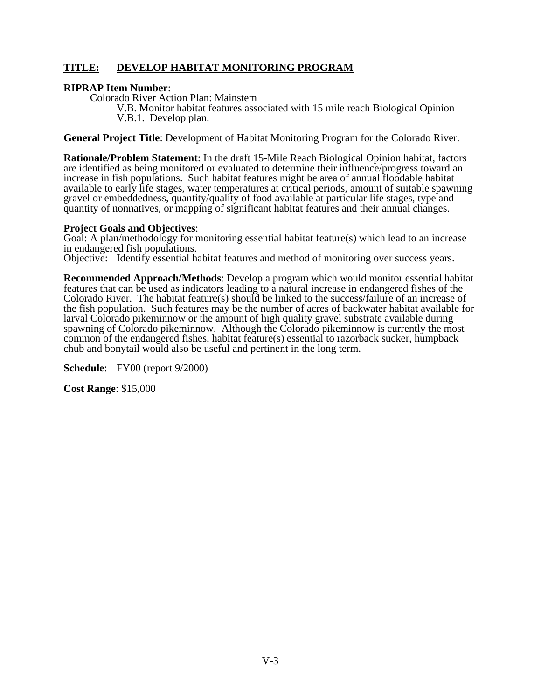## **TITLE: DEVELOP HABITAT MONITORING PROGRAM**

#### **RIPRAP Item Number**:

Colorado River Action Plan: Mainstem

V.B. Monitor habitat features associated with 15 mile reach Biological Opinion V.B.1. Develop plan.

**General Project Title**: Development of Habitat Monitoring Program for the Colorado River.

**Rationale/Problem Statement**: In the draft 15-Mile Reach Biological Opinion habitat, factors are identified as being monitored or evaluated to determine their influence/progress toward an increase in fish populations. Such habitat features might be area of annual floodable habitat available to early life stages, water temperatures at critical periods, amount of suitable spawning gravel or embeddedness, quantity/quality of food available at particular life stages, type and quantity of nonnatives, or mapping of significant habitat features and their annual changes.

#### **Project Goals and Objectives**:

Goal: A plan/methodology for monitoring essential habitat feature(s) which lead to an increase in endangered fish populations.

Objective: Identify essential habitat features and method of monitoring over success years.

**Recommended Approach/Methods**: Develop a program which would monitor essential habitat features that can be used as indicators leading to a natural increase in endangered fishes of the Colorado River. The habitat feature(s) should be linked to the success/failure of an increase of the fish population. Such features may be the number of acres of backwater habitat available for larval Colorado pikeminnow or the amount of high quality gravel substrate available during spawning of Colorado pikeminnow. Although the Colorado pikeminnow is currently the most common of the endangered fishes, habitat feature(s) essential to razorback sucker, humpback chub and bonytail would also be useful and pertinent in the long term.

**Schedule**: FY00 (report 9/2000)

**Cost Range**: \$15,000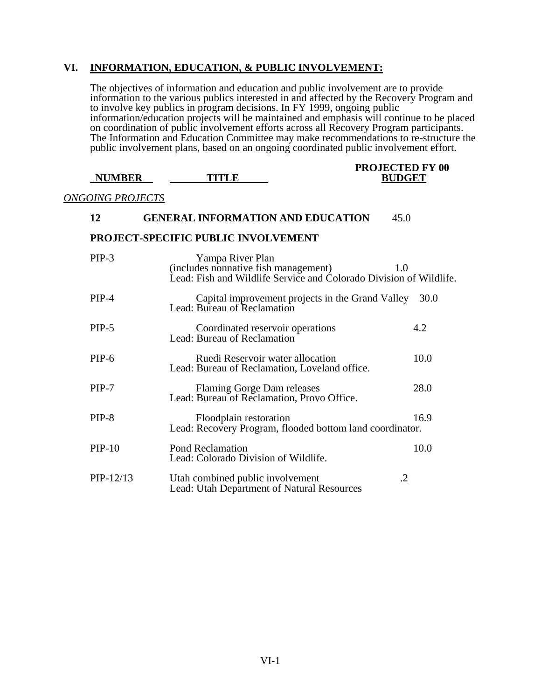## **VI. INFORMATION, EDUCATION, & PUBLIC INVOLVEMENT:**

The objectives of information and education and public involvement are to provide information to the various publics interested in and affected by the Recovery Program and to involve key publics in program decisions. In FY 1999, ongoing public information/education projects will be maintained and emphasis will continue to be placed on coordination of public involvement efforts across all Recovery Program participants. The Information and Education Committee may make recommendations to re-structure the public involvement plans, based on an ongoing coordinated public involvement effort.

|               |       | <b>PROJECTED FY 00</b> |
|---------------|-------|------------------------|
| <b>NUMBER</b> | TITLE | <b>BUDGET</b>          |

#### *ONGOING PROJECTS*

## 12 **GENERAL INFORMATION AND EDUCATION** 45.0

#### **PROJECT-SPECIFIC PUBLIC INVOLVEMENT**

| $PIP-3$     | Yampa River Plan<br>(includes nonnative fish management)<br>1.0<br>Lead: Fish and Wildlife Service and Colorado Division of Wildlife. |      |
|-------------|---------------------------------------------------------------------------------------------------------------------------------------|------|
| $PIP-4$     | Capital improvement projects in the Grand Valley<br>Lead: Bureau of Reclamation                                                       | 30.0 |
| $PIP-5$     | Coordinated reservoir operations<br>Lead: Bureau of Reclamation                                                                       | 4.2  |
| $PIP-6$     | Ruedi Reservoir water allocation<br>Lead: Bureau of Reclamation, Loveland office.                                                     | 10.0 |
| $PIP-7$     | Flaming Gorge Dam releases<br>Lead: Bureau of Reclamation, Provo Office.                                                              | 28.0 |
| $PIP-8$     | Floodplain restoration<br>Lead: Recovery Program, flooded bottom land coordinator.                                                    | 16.9 |
| $PIP-10$    | <b>Pond Reclamation</b><br>Lead: Colorado Division of Wildlife.                                                                       | 10.0 |
| $PIP-12/13$ | Utah combined public involvement<br>.2<br>Lead: Utah Department of Natural Resources                                                  |      |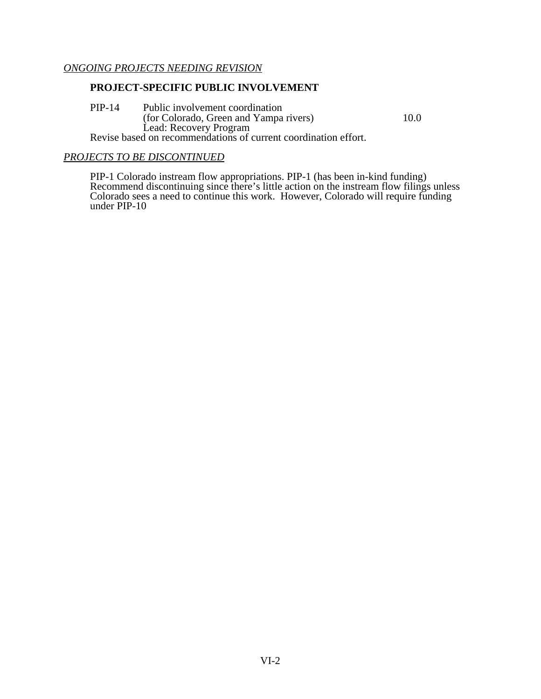## **PROJECT-SPECIFIC PUBLIC INVOLVEMENT**

PIP-14 Public involvement coordination (for Colorado, Green and Yampa rivers) 10.0 Lead: Recovery Program Revise based on recommendations of current coordination effort.

#### *PROJECTS TO BE DISCONTINUED*

PIP-1 Colorado instream flow appropriations. PIP-1 (has been in-kind funding) Recommend discontinuing since there's little action on the instream flow filings unless Colorado sees a need to continue this work. However, Colorado will require funding under PIP-10